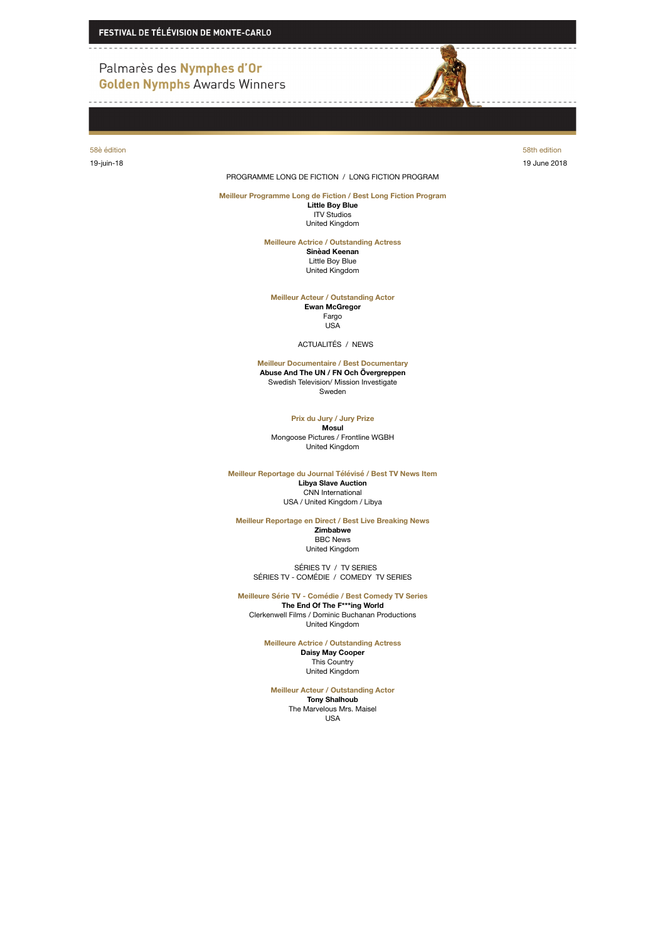## Palmarès des Nymphes d'Or **Golden Nymphs Awards Winners**

58è édition 58th edition 19-juin-18 19 June 2018

PROGRAMME LONG DE FICTION / LONG FICTION PROGRAM

**Meilleur Programme Long de Fiction / Best Long Fiction Program Little Boy Blue** ITV Studios United Kingdom

**Meilleure Actrice / Outstanding Actress**

**Sinèad Keenan** Little Boy Blue United Kingdom

**Meilleur Acteur / Outstanding Actor Ewan McGregor** Fargo USA

ACTUALITÉS / NEWS

**Meilleur Documentaire / Best Documentary Abuse And The UN / FN Och Övergreppen** Swedish Television/ Mission Investigate Sweden

**Prix du Jury / Jury Prize**

**Mosul** Mongoose Pictures / Frontline WGBH United Kingdom

**Meilleur Reportage du Journal Télévisé / Best TV News Item Libya Slave Auction** CNN International USA / United Kingdom / Libya

**Meilleur Reportage en Direct / Best Live Breaking News**

**Zimbabwe** BBC News United Kingdom

 SÉRIES TV / TV SERIES SÉRIES TV - COMÉDIE / COMEDY TV SERIES

**Meilleure Série TV - Comédie / Best Comedy TV Series The End Of The F\*\*\*ing World** Clerkenwell Films / Dominic Buchanan Productions United Kingdom

> **Meilleure Actrice / Outstanding Actress Daisy May Cooper** This Country United Kingdom

**Meilleur Acteur / Outstanding Actor Tony Shalhoub** The Marvelous Mrs. Maisel USA